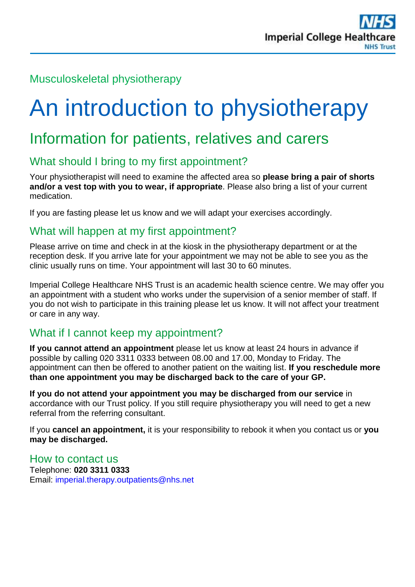# Musculoskeletal physiotherapy

# An introduction to physiotherapy

# Information for patients, relatives and carers

# What should I bring to my first appointment?

Your physiotherapist will need to examine the affected area so **please bring a pair of shorts and/or a vest top with you to wear, if appropriate**. Please also bring a list of your current medication.

If you are fasting please let us know and we will adapt your exercises accordingly.

#### What will happen at my first appointment?

Please arrive on time and check in at the kiosk in the physiotherapy department or at the reception desk. If you arrive late for your appointment we may not be able to see you as the clinic usually runs on time. Your appointment will last 30 to 60 minutes.

Imperial College Healthcare NHS Trust is an academic health science centre. We may offer you an appointment with a student who works under the supervision of a senior member of staff. If you do not wish to participate in this training please let us know. It will not affect your treatment or care in any way.

## What if I cannot keep my appointment?

**If you cannot attend an appointment** please let us know at least 24 hours in advance if possible by calling 020 3311 0333 between 08.00 and 17.00, Monday to Friday. The appointment can then be offered to another patient on the waiting list. **If you reschedule more than one appointment you may be discharged back to the care of your GP.**

**If you do not attend your appointment you may be discharged from our service** in accordance with our Trust policy. If you still require physiotherapy you will need to get a new referral from the referring consultant.

If you **cancel an appointment,** it is your responsibility to rebook it when you contact us or **you may be discharged.** 

#### How to contact us

Telephone: **020 3311 0333** Email: [imperial.therapy.outpatients@nhs.net](mailto:imperial.therapy.outpatients@nhs.net)